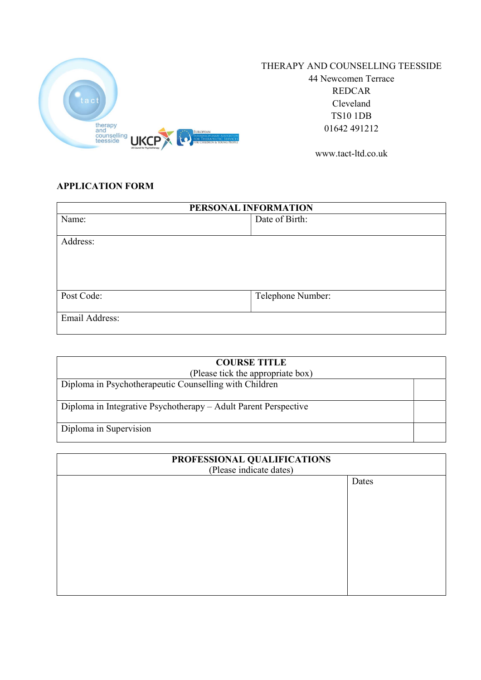

## THERAPY AND COUNSELLING TEESSIDE

44 Newcomen Terrace REDCAR Cleveland TS10 1DB 01642 491212

www.tact-ltd.co.uk

## APPLICATION FORM

| PERSONAL INFORMATION |                   |
|----------------------|-------------------|
| Name:                | Date of Birth:    |
|                      |                   |
| Address:             |                   |
|                      |                   |
|                      |                   |
|                      |                   |
|                      |                   |
| Post Code:           | Telephone Number: |
|                      |                   |
| Email Address:       |                   |
|                      |                   |

| <b>COURSE TITLE</b><br>(Please tick the appropriate box)        |  |
|-----------------------------------------------------------------|--|
| Diploma in Psychotherapeutic Counselling with Children          |  |
| Diploma in Integrative Psychotherapy – Adult Parent Perspective |  |
| Diploma in Supervision                                          |  |

| PROFESSIONAL QUALIFICATIONS<br>(Please indicate dates) |       |  |
|--------------------------------------------------------|-------|--|
|                                                        | Dates |  |
|                                                        |       |  |
|                                                        |       |  |
|                                                        |       |  |
|                                                        |       |  |
|                                                        |       |  |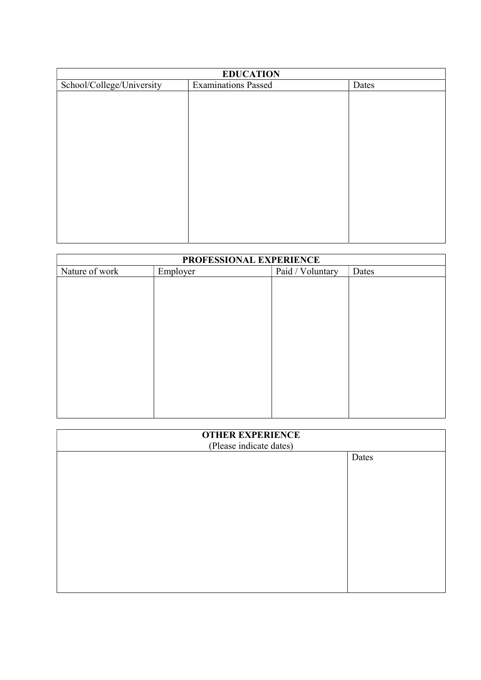| <b>EDUCATION</b>          |                            |       |
|---------------------------|----------------------------|-------|
| School/College/University | <b>Examinations Passed</b> | Dates |
|                           |                            |       |
|                           |                            |       |
|                           |                            |       |
|                           |                            |       |
|                           |                            |       |
|                           |                            |       |
|                           |                            |       |
|                           |                            |       |
|                           |                            |       |
|                           |                            |       |
|                           |                            |       |
|                           |                            |       |
|                           |                            |       |

| PROFESSIONAL EXPERIENCE |          |                  |       |
|-------------------------|----------|------------------|-------|
| Nature of work          | Employer | Paid / Voluntary | Dates |
|                         |          |                  |       |
|                         |          |                  |       |
|                         |          |                  |       |
|                         |          |                  |       |
|                         |          |                  |       |
|                         |          |                  |       |
|                         |          |                  |       |
|                         |          |                  |       |
|                         |          |                  |       |
|                         |          |                  |       |
|                         |          |                  |       |
|                         |          |                  |       |
|                         |          |                  |       |

| <b>OTHER EXPERIENCE</b><br>(Please indicate dates) |       |
|----------------------------------------------------|-------|
|                                                    | Dates |
|                                                    |       |
|                                                    |       |
|                                                    |       |
|                                                    |       |
|                                                    |       |
|                                                    |       |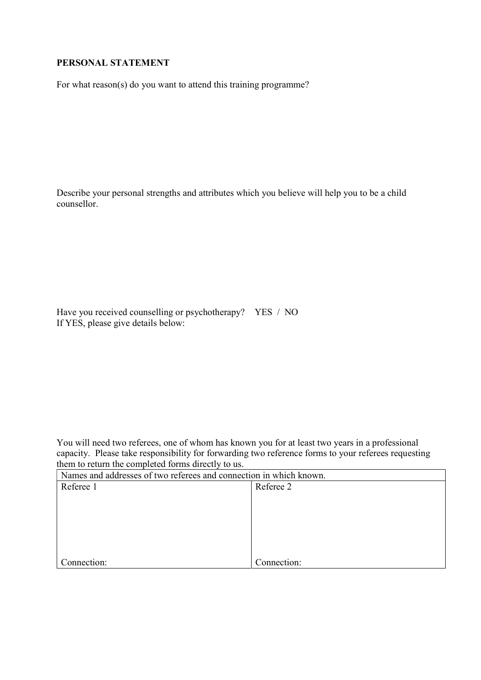## PERSONAL STATEMENT

For what reason(s) do you want to attend this training programme?

Describe your personal strengths and attributes which you believe will help you to be a child counsellor.

Have you received counselling or psychotherapy? YES / NO If YES, please give details below:

You will need two referees, one of whom has known you for at least two years in a professional capacity. Please take responsibility for forwarding two reference forms to your referees requesting them to return the completed forms directly to us.

| Names and addresses of two referees and connection in which known. |             |
|--------------------------------------------------------------------|-------------|
| Referee 1                                                          | Referee 2   |
|                                                                    |             |
|                                                                    |             |
|                                                                    |             |
|                                                                    |             |
|                                                                    |             |
|                                                                    |             |
| Connection:                                                        | Connection: |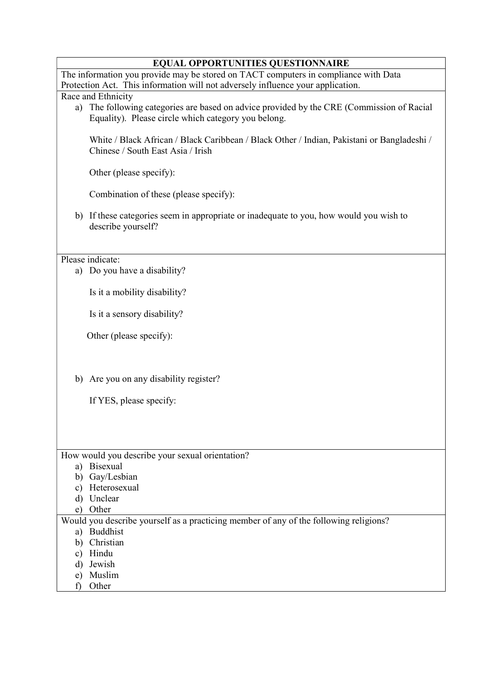### EQUAL OPPORTUNITIES QUESTIONNAIRE

The information you provide may be stored on TACT computers in compliance with Data Protection Act. This information will not adversely influence your application.

#### Race and Ethnicity

a) The following categories are based on advice provided by the CRE (Commission of Racial Equality). Please circle which category you belong.

White / Black African / Black Caribbean / Black Other / Indian, Pakistani or Bangladeshi / Chinese / South East Asia / Irish

Other (please specify):

Combination of these (please specify):

b) If these categories seem in appropriate or inadequate to you, how would you wish to describe yourself?

Please indicate:

a) Do you have a disability?

Is it a mobility disability?

Is it a sensory disability?

Other (please specify):

b) Are you on any disability register?

If YES, please specify:

| How would you describe your sexual orientation?                                       |
|---------------------------------------------------------------------------------------|
| Bisexual<br>a)                                                                        |
| Gay/Lesbian<br>b)                                                                     |
| Heterosexual<br>$\mathbf{c}$ )                                                        |
| Unclear<br>d)                                                                         |
| Other<br>e)                                                                           |
| Would you describe yourself as a practicing member of any of the following religions? |
| <b>Buddhist</b><br>a)                                                                 |
| Christian<br>b)                                                                       |
| Hindu<br>c)                                                                           |
| Jewish<br>d)                                                                          |
| Muslim<br>e)                                                                          |
| Other                                                                                 |
|                                                                                       |